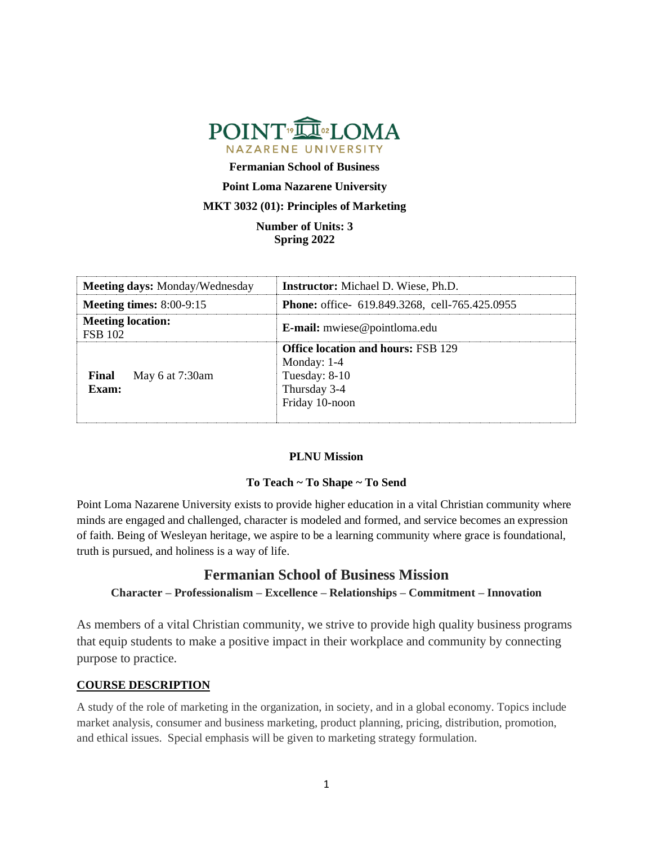

**Fermanian School of Business**

## **Point Loma Nazarene University**

## **MKT 3032 (01): Principles of Marketing**

**Number of Units: 3 Spring 2022**

| <b>Meeting days: Monday/Wednesday</b>      | <b>Instructor:</b> Michael D. Wiese, Ph.D.                                                                    |
|--------------------------------------------|---------------------------------------------------------------------------------------------------------------|
| <b>Meeting times:</b> $8:00-9:15$          | <b>Phone:</b> office- 619.849.3268, cell-765.425.0955                                                         |
| <b>Meeting location:</b><br><b>FSB 102</b> | <b>E-mail:</b> mwiese@pointloma.edu                                                                           |
| Final<br>May 6 at 7:30am<br>Exam:          | <b>Office location and hours: FSB 129</b><br>Monday: $1-4$<br>Tuesday: 8-10<br>Thursday 3-4<br>Friday 10-noon |

# **PLNU Mission**

## **To Teach ~ To Shape ~ To Send**

Point Loma Nazarene University exists to provide higher education in a vital Christian community where minds are engaged and challenged, character is modeled and formed, and service becomes an expression of faith. Being of Wesleyan heritage, we aspire to be a learning community where grace is foundational, truth is pursued, and holiness is a way of life.

# **Fermanian School of Business Mission**

## **Character – Professionalism – Excellence – Relationships – Commitment – Innovation**

As members of a vital Christian community, we strive to provide high quality business programs that equip students to make a positive impact in their workplace and community by connecting purpose to practice.

## **COURSE DESCRIPTION**

A study of the role of marketing in the organization, in society, and in a global economy. Topics include market analysis, consumer and business marketing, product planning, pricing, distribution, promotion, and ethical issues. Special emphasis will be given to marketing strategy formulation.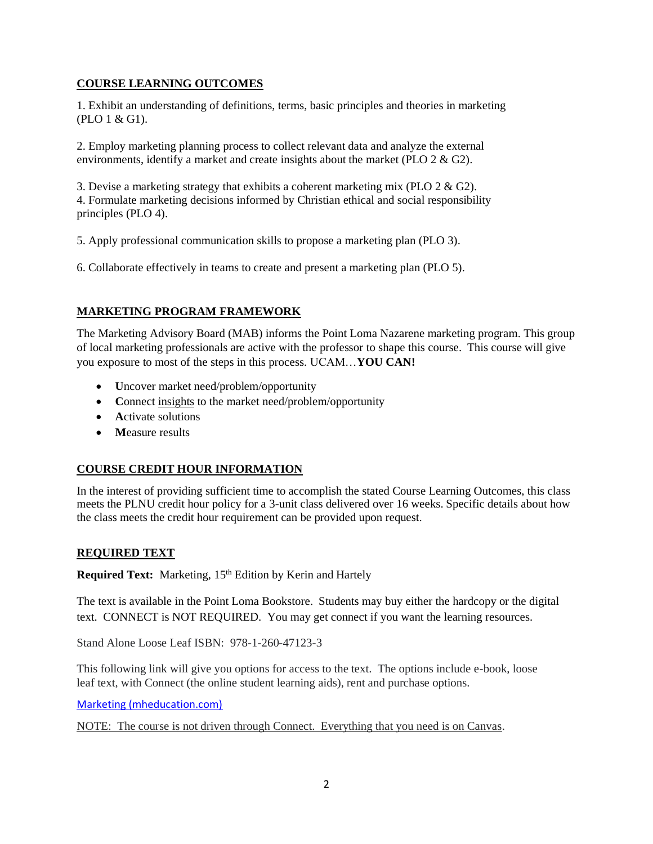# **COURSE LEARNING OUTCOMES**

1. Exhibit an understanding of definitions, terms, basic principles and theories in marketing (PLO 1 & G1).

2. Employ marketing planning process to collect relevant data and analyze the external environments, identify a market and create insights about the market (PLO 2 & G2).

3. Devise a marketing strategy that exhibits a coherent marketing mix (PLO 2 & G2). 4. Formulate marketing decisions informed by Christian ethical and social responsibility principles (PLO 4).

5. Apply professional communication skills to propose a marketing plan (PLO 3).

6. Collaborate effectively in teams to create and present a marketing plan (PLO 5).

# **MARKETING PROGRAM FRAMEWORK**

The Marketing Advisory Board (MAB) informs the Point Loma Nazarene marketing program. This group of local marketing professionals are active with the professor to shape this course. This course will give you exposure to most of the steps in this process. UCAM…**YOU CAN!**

- **U**ncover market need/problem/opportunity
- Connect insights to the market need/problem/opportunity
- **A**ctivate solutions
- **M**easure results

# **COURSE CREDIT HOUR INFORMATION**

In the interest of providing sufficient time to accomplish the stated Course Learning Outcomes, this class meets the PLNU credit hour policy for a 3-unit class delivered over 16 weeks. Specific details about how the class meets the credit hour requirement can be provided upon request.

## **REQUIRED TEXT**

Required Text: Marketing, 15<sup>th</sup> Edition by Kerin and Hartely

The text is available in the Point Loma Bookstore. Students may buy either the hardcopy or the digital text. CONNECT is NOT REQUIRED. You may get connect if you want the learning resources.

Stand Alone Loose Leaf ISBN: 978-1-260-47123-3

This following link will give you options for access to the text. The options include e-book, loose leaf text, with Connect (the online student learning aids), rent and purchase options.

[Marketing \(mheducation.com\)](https://www.mheducation.com/highered/product/marketing-kerin-hartley/M9781260260366.html#textbookCollapse)

NOTE: The course is not driven through Connect. Everything that you need is on Canvas.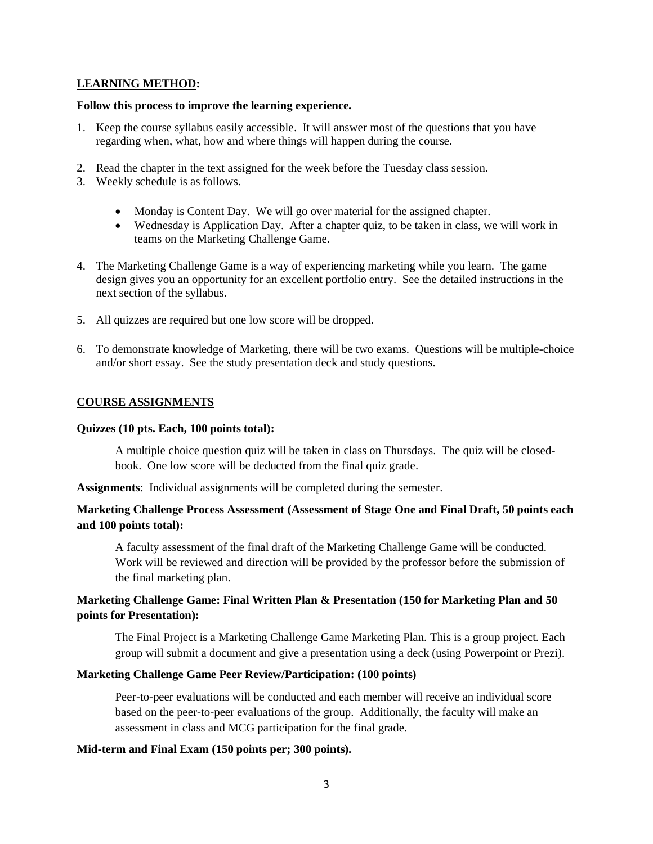## **LEARNING METHOD:**

#### **Follow this process to improve the learning experience.**

- 1. Keep the course syllabus easily accessible. It will answer most of the questions that you have regarding when, what, how and where things will happen during the course.
- 2. Read the chapter in the text assigned for the week before the Tuesday class session.
- 3. Weekly schedule is as follows.
	- Monday is Content Day. We will go over material for the assigned chapter.
	- Wednesday is Application Day. After a chapter quiz, to be taken in class, we will work in teams on the Marketing Challenge Game.
- 4. The Marketing Challenge Game is a way of experiencing marketing while you learn. The game design gives you an opportunity for an excellent portfolio entry. See the detailed instructions in the next section of the syllabus.
- 5. All quizzes are required but one low score will be dropped.
- 6. To demonstrate knowledge of Marketing, there will be two exams. Questions will be multiple-choice and/or short essay. See the study presentation deck and study questions.

# **COURSE ASSIGNMENTS**

## **Quizzes (10 pts. Each, 100 points total):**

A multiple choice question quiz will be taken in class on Thursdays. The quiz will be closedbook. One low score will be deducted from the final quiz grade.

**Assignments**: Individual assignments will be completed during the semester.

# **Marketing Challenge Process Assessment (Assessment of Stage One and Final Draft, 50 points each and 100 points total):**

A faculty assessment of the final draft of the Marketing Challenge Game will be conducted. Work will be reviewed and direction will be provided by the professor before the submission of the final marketing plan.

# **Marketing Challenge Game: Final Written Plan & Presentation (150 for Marketing Plan and 50 points for Presentation):**

The Final Project is a Marketing Challenge Game Marketing Plan. This is a group project. Each group will submit a document and give a presentation using a deck (using Powerpoint or Prezi).

## **Marketing Challenge Game Peer Review/Participation: (100 points)**

Peer-to-peer evaluations will be conducted and each member will receive an individual score based on the peer-to-peer evaluations of the group. Additionally, the faculty will make an assessment in class and MCG participation for the final grade.

## **Mid-term and Final Exam (150 points per; 300 points).**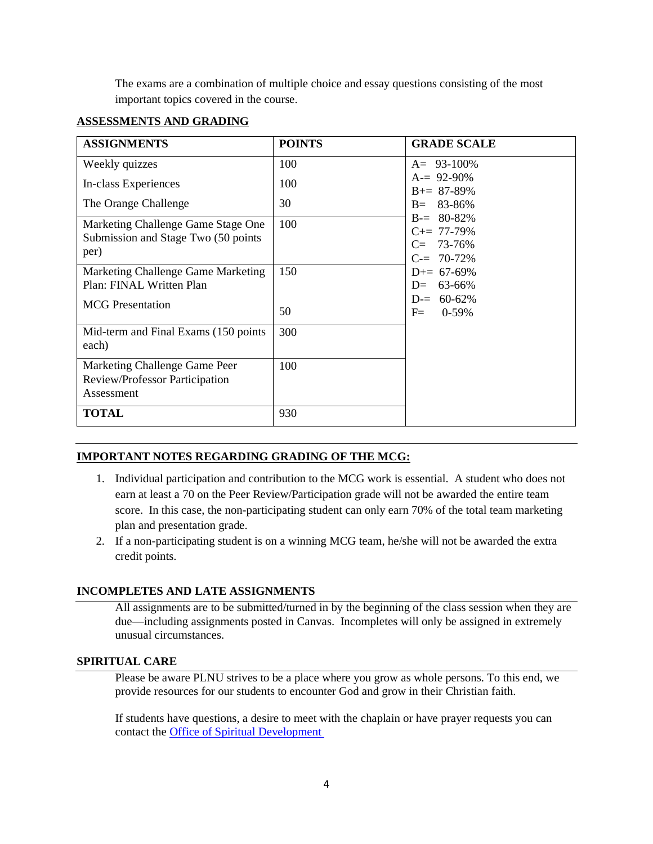The exams are a combination of multiple choice and essay questions consisting of the most important topics covered in the course.

# **ASSESSMENTS AND GRADING**

| <b>ASSIGNMENTS</b>                                                                | <b>POINTS</b> | <b>GRADE SCALE</b>                                              |
|-----------------------------------------------------------------------------------|---------------|-----------------------------------------------------------------|
| Weekly quizzes                                                                    | 100           | $A = 93 - 100\%$                                                |
| In-class Experiences                                                              | 100           | $A = 92-90\%$<br>$B = 87 - 89\%$                                |
| The Orange Challenge                                                              | 30            | $B = 83 - 86%$                                                  |
| Marketing Challenge Game Stage One<br>Submission and Stage Two (50 points<br>per) | 100           | $B = 80 - 82\%$<br>$C+= 77-79%$<br>$C = 73-76%$<br>$C = 70-72%$ |
| Marketing Challenge Game Marketing<br>Plan: FINAL Written Plan                    | 150           | $D+= 67-69\%$<br>63-66%<br>$D=$<br>$D = 60-62%$                 |
| <b>MCG</b> Presentation                                                           | 50            | $F =$<br>$0-59%$                                                |
| Mid-term and Final Exams (150 points)<br>each)                                    | 300           |                                                                 |
| Marketing Challenge Game Peer<br>Review/Professor Participation<br>Assessment     | 100           |                                                                 |
| <b>TOTAL</b>                                                                      | 930           |                                                                 |

# **IMPORTANT NOTES REGARDING GRADING OF THE MCG:**

- 1. Individual participation and contribution to the MCG work is essential. A student who does not earn at least a 70 on the Peer Review/Participation grade will not be awarded the entire team score. In this case, the non-participating student can only earn 70% of the total team marketing plan and presentation grade.
- 2. If a non-participating student is on a winning MCG team, he/she will not be awarded the extra credit points.

# **INCOMPLETES AND LATE ASSIGNMENTS**

All assignments are to be submitted/turned in by the beginning of the class session when they are due—including assignments posted in Canvas. Incompletes will only be assigned in extremely unusual circumstances.

## **SPIRITUAL CARE**

Please be aware PLNU strives to be a place where you grow as whole persons. To this end, we provide resources for our students to encounter God and grow in their Christian faith.

If students have questions, a desire to meet with the chaplain or have prayer requests you can contact th[e Office of Spiritual Development](https://www.pointloma.edu/offices/spiritual-development)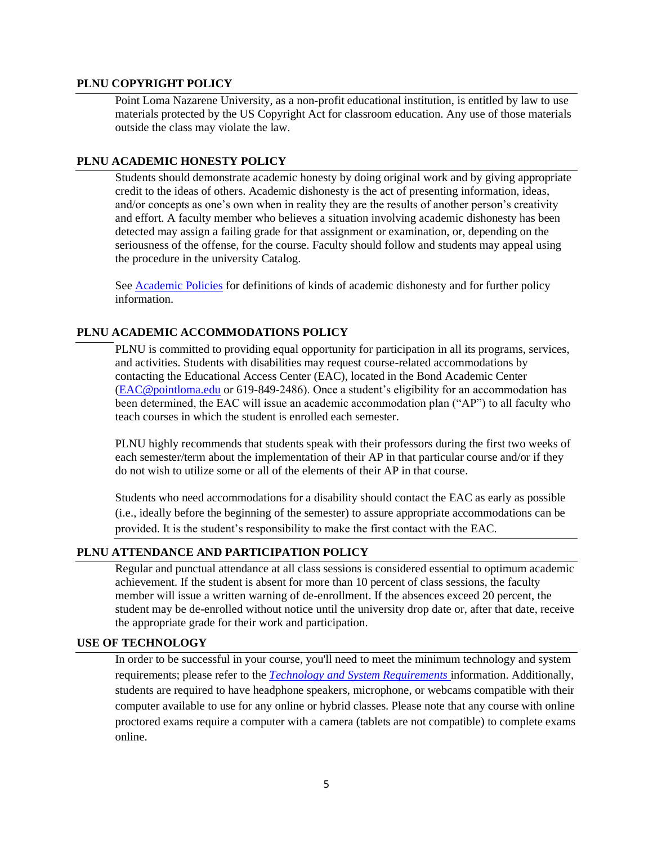#### **PLNU COPYRIGHT POLICY**

Point Loma Nazarene University, as a non-profit educational institution, is entitled by law to use materials protected by the US Copyright Act for classroom education. Any use of those materials outside the class may violate the law.

#### **PLNU ACADEMIC HONESTY POLICY**

Students should demonstrate academic honesty by doing original work and by giving appropriate credit to the ideas of others. Academic dishonesty is the act of presenting information, ideas, and/or concepts as one's own when in reality they are the results of another person's creativity and effort. A faculty member who believes a situation involving academic dishonesty has been detected may assign a failing grade for that assignment or examination, or, depending on the seriousness of the offense, for the course. Faculty should follow and students may appeal using the procedure in the university Catalog.

Se[e Academic Policies](https://catalog.pointloma.edu/content.php?catoid=52&navoid=2919#Academic_Honesty) for definitions of kinds of academic dishonesty and for further policy information.

#### **PLNU ACADEMIC ACCOMMODATIONS POLICY**

PLNU is committed to providing equal opportunity for participation in all its programs, services, and activities. Students with disabilities may request course-related accommodations by contacting the Educational Access Center (EAC), located in the Bond Academic Center [\(EAC@pointloma.edu](mailto:EAC@pointloma.edu) or 619-849-2486). Once a student's eligibility for an accommodation has been determined, the EAC will issue an academic accommodation plan ("AP") to all faculty who teach courses in which the student is enrolled each semester.

PLNU highly recommends that students speak with their professors during the first two weeks of each semester/term about the implementation of their AP in that particular course and/or if they do not wish to utilize some or all of the elements of their AP in that course.

Students who need accommodations for a disability should contact the EAC as early as possible (i.e., ideally before the beginning of the semester) to assure appropriate accommodations can be provided. It is the student's responsibility to make the first contact with the EAC.

#### **PLNU ATTENDANCE AND PARTICIPATION POLICY**

Regular and punctual attendance at all class sessions is considered essential to optimum academic achievement. If the student is absent for more than 10 percent of class sessions, the faculty member will issue a written warning of de-enrollment. If the absences exceed 20 percent, the student may be de-enrolled without notice until the university drop date or, after that date, receive the appropriate grade for their work and participation.

# **USE OF TECHNOLOGY**

In order to be successful in your course, you'll need to meet the minimum technology and system requirements; please refer to the *[Technology and System Requirements](https://help.pointloma.edu/TDClient/1808/Portal/KB/ArticleDet?ID=108349)* information. Additionally, students are required to have headphone speakers, microphone, or webcams compatible with their computer available to use for any online or hybrid classes. Please note that any course with online proctored exams require a computer with a camera (tablets are not compatible) to complete exams online.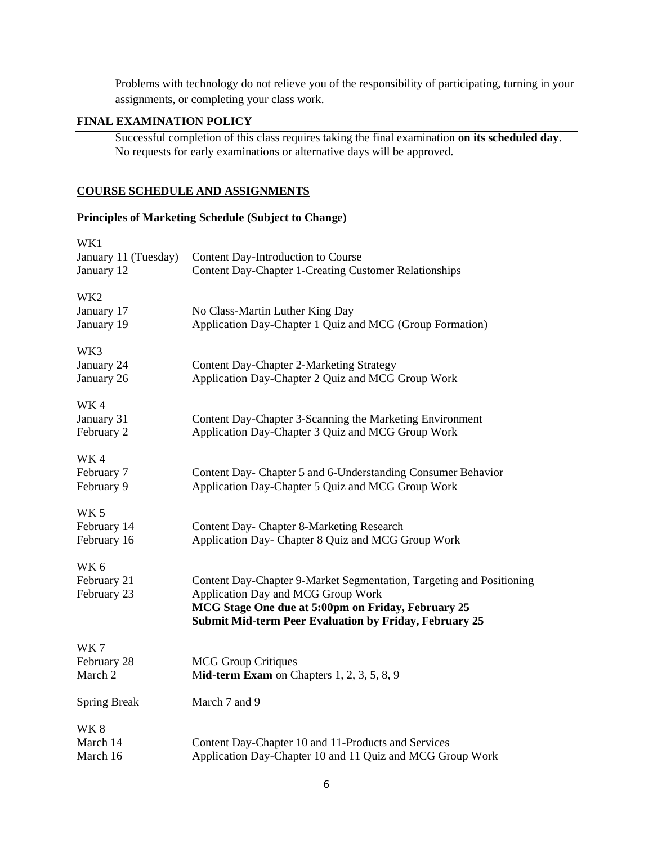Problems with technology do not relieve you of the responsibility of participating, turning in your assignments, or completing your class work.

# **FINAL EXAMINATION POLICY**

Successful completion of this class requires taking the final examination **on its scheduled day**. No requests for early examinations or alternative days will be approved.

#### **COURSE SCHEDULE AND ASSIGNMENTS**

# **Principles of Marketing Schedule (Subject to Change)**

| WK1<br>January 11 (Tuesday)<br>January 12     | Content Day-Introduction to Course<br><b>Content Day-Chapter 1-Creating Customer Relationships</b>                                                                                                                                |
|-----------------------------------------------|-----------------------------------------------------------------------------------------------------------------------------------------------------------------------------------------------------------------------------------|
| WK <sub>2</sub><br>January 17<br>January 19   | No Class-Martin Luther King Day<br>Application Day-Chapter 1 Quiz and MCG (Group Formation)                                                                                                                                       |
| WK3<br>January 24<br>January 26               | <b>Content Day-Chapter 2-Marketing Strategy</b><br>Application Day-Chapter 2 Quiz and MCG Group Work                                                                                                                              |
| WK4<br>January 31<br>February 2               | Content Day-Chapter 3-Scanning the Marketing Environment<br>Application Day-Chapter 3 Quiz and MCG Group Work                                                                                                                     |
| WK4<br>February 7<br>February 9               | Content Day- Chapter 5 and 6-Understanding Consumer Behavior<br>Application Day-Chapter 5 Quiz and MCG Group Work                                                                                                                 |
| WK <sub>5</sub><br>February 14<br>February 16 | <b>Content Day- Chapter 8-Marketing Research</b><br>Application Day- Chapter 8 Quiz and MCG Group Work                                                                                                                            |
| WK <sub>6</sub><br>February 21<br>February 23 | Content Day-Chapter 9-Market Segmentation, Targeting and Positioning<br>Application Day and MCG Group Work<br>MCG Stage One due at 5:00pm on Friday, February 25<br><b>Submit Mid-term Peer Evaluation by Friday, February 25</b> |
| WK7<br>February 28<br>March 2                 | <b>MCG Group Critiques</b><br>Mid-term Exam on Chapters 1, 2, 3, 5, 8, 9                                                                                                                                                          |
| <b>Spring Break</b>                           | March 7 and 9                                                                                                                                                                                                                     |
| WK8<br>March 14<br>March 16                   | Content Day-Chapter 10 and 11-Products and Services<br>Application Day-Chapter 10 and 11 Quiz and MCG Group Work                                                                                                                  |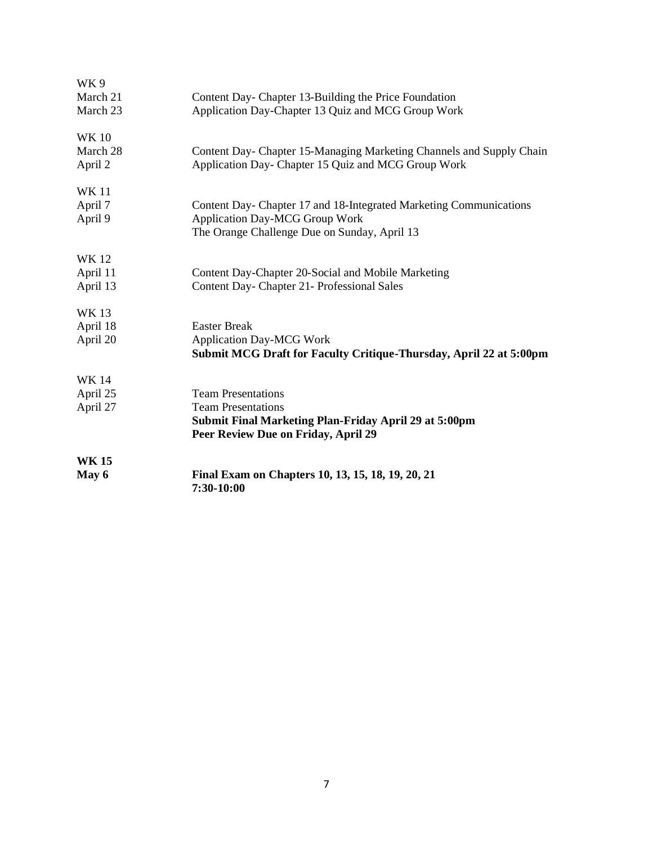| WK9          |                                                                      |
|--------------|----------------------------------------------------------------------|
| March 21     | Content Day- Chapter 13-Building the Price Foundation                |
| March 23     | Application Day-Chapter 13 Quiz and MCG Group Work                   |
| <b>WK10</b>  |                                                                      |
| March 28     | Content Day- Chapter 15-Managing Marketing Channels and Supply Chain |
| April 2      | Application Day- Chapter 15 Quiz and MCG Group Work                  |
| <b>WK11</b>  |                                                                      |
| April 7      | Content Day- Chapter 17 and 18-Integrated Marketing Communications   |
| April 9      | <b>Application Day-MCG Group Work</b>                                |
|              | The Orange Challenge Due on Sunday, April 13                         |
| <b>WK12</b>  |                                                                      |
| April 11     | Content Day-Chapter 20-Social and Mobile Marketing                   |
| April 13     | Content Day- Chapter 21- Professional Sales                          |
| <b>WK13</b>  |                                                                      |
| April 18     | <b>Easter Break</b>                                                  |
| April 20     | <b>Application Day-MCG Work</b>                                      |
|              | Submit MCG Draft for Faculty Critique-Thursday, April 22 at 5:00pm   |
| WK 14        |                                                                      |
| April 25     | <b>Team Presentations</b>                                            |
| April 27     | <b>Team Presentations</b>                                            |
|              | <b>Submit Final Marketing Plan-Friday April 29 at 5:00pm</b>         |
|              | Peer Review Due on Friday, April 29                                  |
| <b>WK 15</b> |                                                                      |
| May 6        | Final Exam on Chapters 10, 13, 15, 18, 19, 20, 21<br>7:30-10:00      |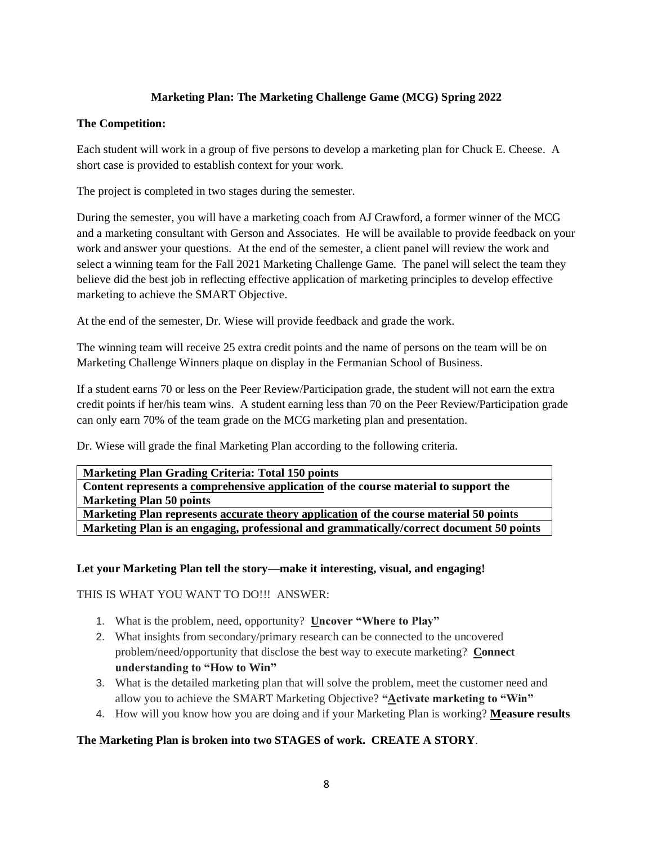# **Marketing Plan: The Marketing Challenge Game (MCG) Spring 2022**

# **The Competition:**

Each student will work in a group of five persons to develop a marketing plan for Chuck E. Cheese. A short case is provided to establish context for your work.

The project is completed in two stages during the semester.

During the semester, you will have a marketing coach from AJ Crawford, a former winner of the MCG and a marketing consultant with Gerson and Associates. He will be available to provide feedback on your work and answer your questions. At the end of the semester, a client panel will review the work and select a winning team for the Fall 2021 Marketing Challenge Game. The panel will select the team they believe did the best job in reflecting effective application of marketing principles to develop effective marketing to achieve the SMART Objective.

At the end of the semester, Dr. Wiese will provide feedback and grade the work.

The winning team will receive 25 extra credit points and the name of persons on the team will be on Marketing Challenge Winners plaque on display in the Fermanian School of Business.

If a student earns 70 or less on the Peer Review/Participation grade, the student will not earn the extra credit points if her/his team wins. A student earning less than 70 on the Peer Review/Participation grade can only earn 70% of the team grade on the MCG marketing plan and presentation.

Dr. Wiese will grade the final Marketing Plan according to the following criteria.

| <b>Marketing Plan Grading Criteria: Total 150 points</b>                                 |  |
|------------------------------------------------------------------------------------------|--|
| Content represents a comprehensive application of the course material to support the     |  |
| <b>Marketing Plan 50 points</b>                                                          |  |
| Marketing Plan represents accurate theory application of the course material 50 points   |  |
| Marketing Plan is an engaging, professional and grammatically/correct document 50 points |  |

## **Let your Marketing Plan tell the story—make it interesting, visual, and engaging!**

THIS IS WHAT YOU WANT TO DO!!! ANSWER:

- 1. What is the problem, need, opportunity? **Uncover "Where to Play"**
- 2. What insights from secondary/primary research can be connected to the uncovered problem/need/opportunity that disclose the best way to execute marketing? **Connect understanding to "How to Win"**
- 3. What is the detailed marketing plan that will solve the problem, meet the customer need and allow you to achieve the SMART Marketing Objective? **"Activate marketing to "Win"**
- 4. How will you know how you are doing and if your Marketing Plan is working? **Measure results**

## **The Marketing Plan is broken into two STAGES of work. CREATE A STORY**.